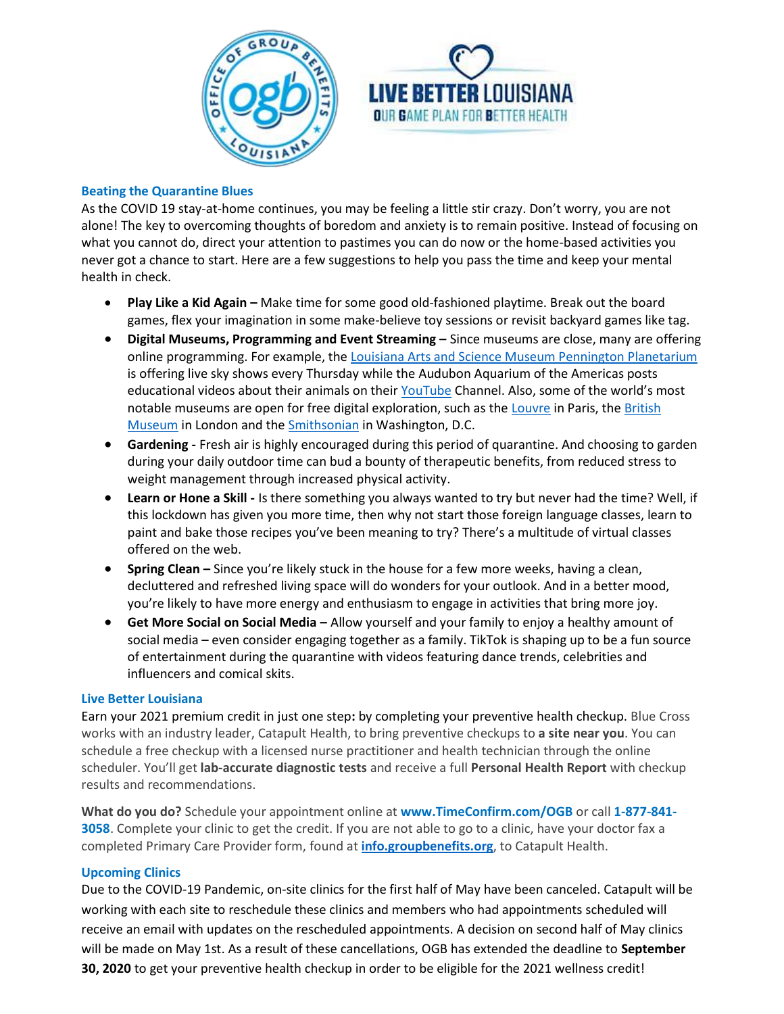



# **Beating the Quarantine Blues**

As the COVID 19 stay-at-home continues, you may be feeling a little stir crazy. Don't worry, you are not alone! The key to overcoming thoughts of boredom and anxiety is to remain positive. Instead of focusing on what you cannot do, direct your attention to pastimes you can do now or the home-based activities you never got a chance to start. Here are a few suggestions to help you pass the time and keep your mental health in check.

- **Play Like a Kid Again –** Make time for some good old-fashioned playtime. Break out the board games, flex your imagination in some make-believe toy sessions or revisit backyard games like tag.
- **Digital Museums, Programming and Event Streaming –** Since museums are close, many are offering online programming. For example, the [Louisiana Arts and Science Museum Pennington Planetarium](https://www.lasm.org/events/upcoming-events/we-need-our-space-live-hosted-by-the-irene-w.-pennington-planetarium) is offering live sky shows every Thursday while the Audubon Aquarium of the Americas posts educational videos about their animals on their [YouTube](https://www.youtube.com/user/AudubonInstitute/videos) Channel. Also, some of the world's most notable museums are open for free digital exploration, such as the [Louvre](https://www.louvre.fr/en/visites-en-ligne) in Paris, the British [Museum](https://britishmuseum.withgoogle.com/) in London and the **Smithsonian** in Washington, D.C.
- **Gardening -** Fresh air is highly encouraged during this period of quarantine. And choosing to garden during your daily outdoor time can bud a bounty of therapeutic benefits, from reduced stress to weight management through increased physical activity.
- **Learn or Hone a Skill -** Is there something you always wanted to try but never had the time? Well, if this lockdown has given you more time, then why not start those foreign language classes, learn to paint and bake those recipes you've been meaning to try? There's a multitude of virtual classes offered on the web.
- **Spring Clean –** Since you're likely stuck in the house for a few more weeks, having a clean, decluttered and refreshed living space will do wonders for your outlook. And in a better mood, you're likely to have more energy and enthusiasm to engage in activities that bring more joy.
- **Get More Social on Social Media –** Allow yourself and your family to enjoy a healthy amount of social media – even consider engaging together as a family. TikTok is shaping up to be a fun source of entertainment during the quarantine with videos featuring dance trends, celebrities and influencers and comical skits.

## **Live Better Louisiana**

Earn your 2021 premium credit in just one step**:** by completing your preventive health checkup. Blue Cross works with an industry leader, Catapult Health, to bring preventive checkups to **a site near you**. You can schedule a free checkup with a licensed nurse practitioner and health technician through the online scheduler. You'll get **lab-accurate diagnostic tests** and receive a full **Personal Health Report** with checkup results and recommendations.

**What do you do?** Schedule your appointment online at **www.TimeConfirm.com/OGB** or call **1-877-841- 3058**. Complete your clinic to get the credit. If you are not able to go to a clinic, have your doctor fax a completed Primary Care Provider form, found at **[info.groupbenefits.org](https://info.groupbenefits.org/docs/OGBforms/LiveBetterLouisiana/CatapultHealth-PrimaryCareProviderForm-OGB-09052019.pdf)**, to Catapult Health.

## **Upcoming Clinics**

Due to the COVID-19 Pandemic, on-site clinics for the first half of May have been canceled. Catapult will be working with each site to reschedule these clinics and members who had appointments scheduled will receive an email with updates on the rescheduled appointments. A decision on second half of May clinics will be made on May 1st. As a result of these cancellations, OGB has extended the deadline to **September 30, 2020** to get your preventive health checkup in order to be eligible for the 2021 wellness credit!